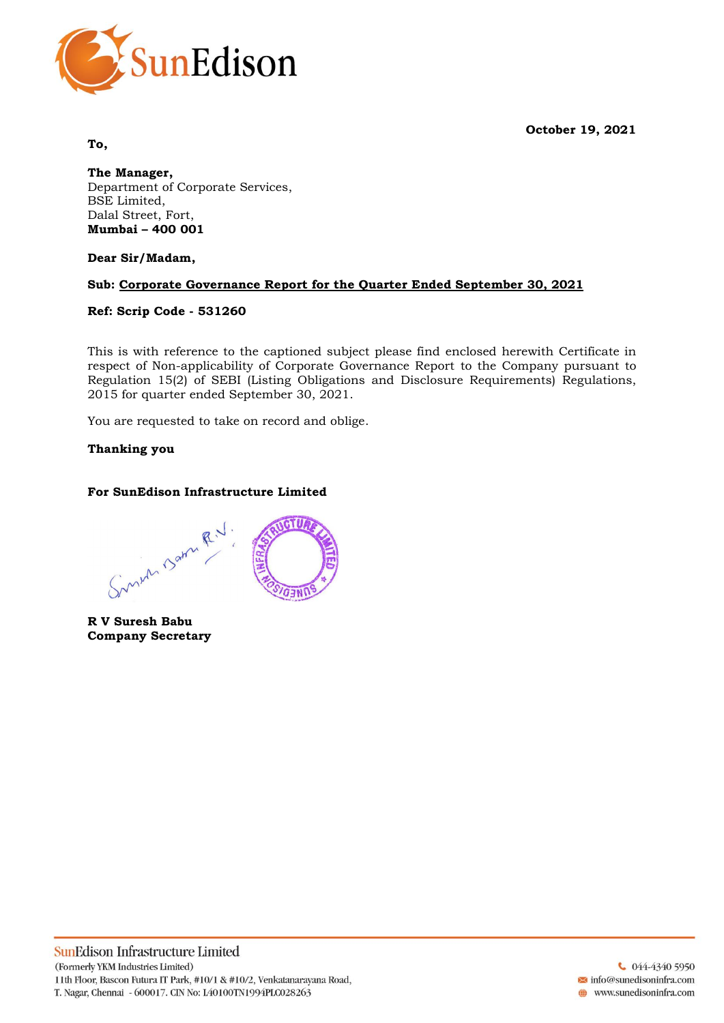**October 19, 2021**



**To,**

**The Manager,** Department of Corporate Services, BSE Limited, Dalal Street, Fort, **Mumbai – 400 001**

**Dear Sir/Madam,**

# **Sub: Corporate Governance Report for the Quarter Ended September 30, 2021**

## **Ref: Scrip Code - 531260**

This is with reference to the captioned subject please find enclosed herewith Certificate in respect of Non-applicability of Corporate Governance Report to the Company pursuant to Regulation 15(2) of SEBI (Listing Obligations and Disclosure Requirements) Regulations, 2015 for quarter ended September 30, 2021.

You are requested to take on record and oblige.

# **Thanking you**

# **For SunEdison Infrastructure Limited**

Sunen Barn R.V. aw

**R V Suresh Babu Company Secretary**